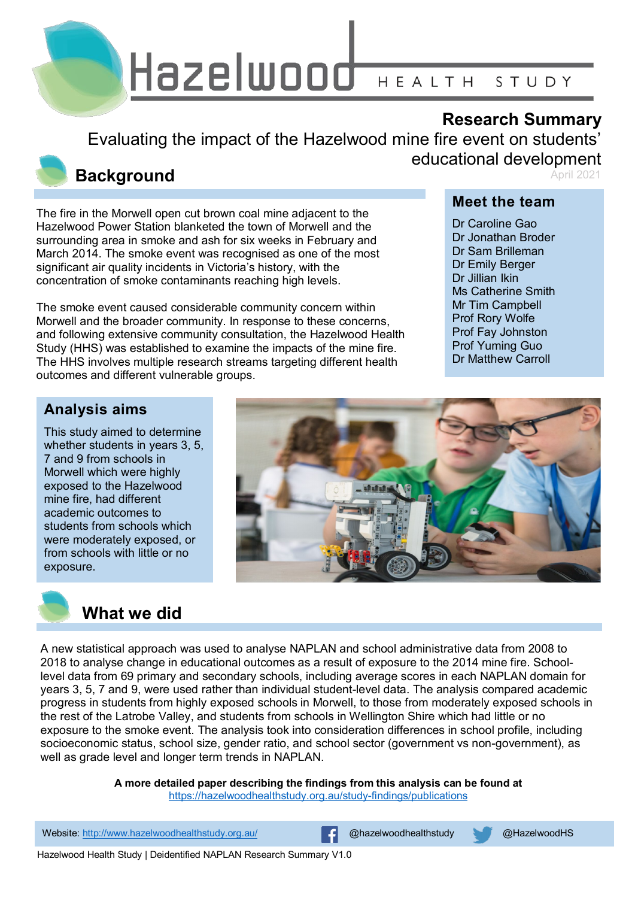

## **Research Summary**

Evaluating the impact of the Hazelwood mine fire event on students' educational development April 2021

### **Background**

The fire in the Morwell open cut brown coal mine adjacent to the Hazelwood Power Station blanketed the town of Morwell and the surrounding area in smoke and ash for six weeks in February and March 2014. The smoke event was recognised as one of the most significant air quality incidents in Victoria's history, with the concentration of smoke contaminants reaching high levels.

The smoke event caused considerable community concern within Morwell and the broader community. In response to these concerns, and following extensive community consultation, the Hazelwood Health Study (HHS) was established to examine the impacts of the mine fire. The HHS involves multiple research streams targeting different health outcomes and different vulnerable groups.

### **Meet the team**

Dr Caroline Gao Dr Jonathan Broder Dr Sam Brilleman Dr Emily Berger Dr Jillian Ikin Ms Catherine Smith Mr Tim Campbell Prof Rory Wolfe Prof Fay Johnston Prof Yuming Guo Dr Matthew Carroll

### **Analysis aims**

This study aimed to determine whether students in years 3, 5, 7 and 9 from schools in Morwell which were highly exposed to the Hazelwood mine fire, had different academic outcomes to students from schools which were moderately exposed, or from schools with little or no exposure.





A new statistical approach was used to analyse NAPLAN and school administrative data from 2008 to 2018 to analyse change in educational outcomes as a result of exposure to the 2014 mine fire. Schoollevel data from 69 primary and secondary schools, including average scores in each NAPLAN domain for years 3, 5, 7 and 9, were used rather than individual student-level data. The analysis compared academic progress in students from highly exposed schools in Morwell, to those from moderately exposed schools in the rest of the Latrobe Valley, and students from schools in Wellington Shire which had little or no exposure to the smoke event. The analysis took into consideration differences in school profile, including socioeconomic status, school size, gender ratio, and school sector (government vs non-government), as well as grade level and longer term trends in NAPLAN.

**A more detailed paper describing the findings from this analysis can be found at** 

<https://hazelwoodhealthstudy.org.au/study-findings/publications>

1 Website: <http://www.hazelwoodhealthstudy.org.au/> @hazelwoodhealthstudy @HazelwoodHS

Hazelwood Health Study | Deidentified NAPLAN Research Summary V1.0